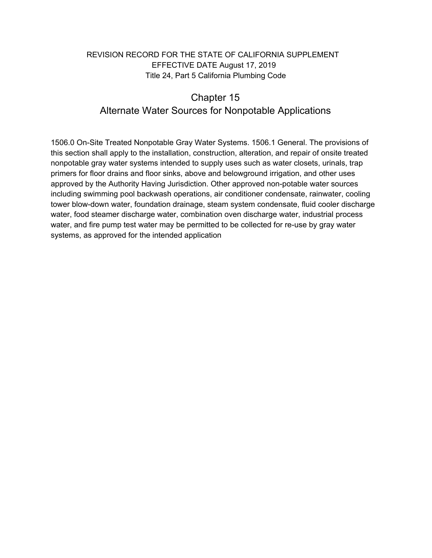## REVISION RECORD FOR THE STATE OF CALIFORNIA SUPPLEMENT EFFECTIVE DATE August 17, 2019 Title 24, Part 5 California Plumbing Code

## Chapter 15 Alternate Water Sources for Nonpotable Applications

1506.0 On-Site Treated Nonpotable Gray Water Systems. 1506.1 General. The provisions of this section shall apply to the installation, construction, alteration, and repair of onsite treated nonpotable gray water systems intended to supply uses such as water closets, urinals, trap primers for floor drains and floor sinks, above and belowground irrigation, and other uses approved by the Authority Having Jurisdiction. Other approved non-potable water sources including swimming pool backwash operations, air conditioner condensate, rainwater, cooling tower blow-down water, foundation drainage, steam system condensate, fluid cooler discharge water, food steamer discharge water, combination oven discharge water, industrial process water, and fire pump test water may be permitted to be collected for re-use by gray water systems, as approved for the intended application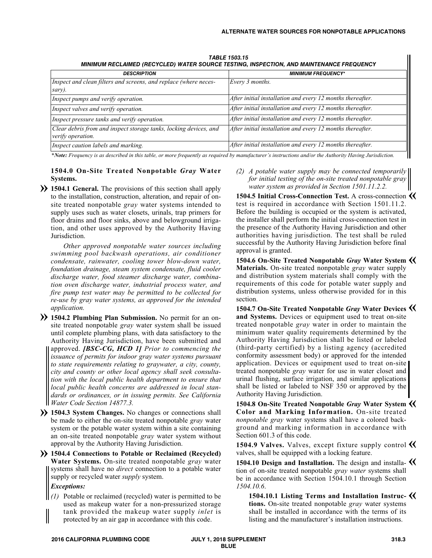| MINIMUM RECEANNED (RECTCEED) MATER SOURCE TESTING, INSPECTION, AND MAINTENANCE I REQUENCT |                                                            |
|-------------------------------------------------------------------------------------------|------------------------------------------------------------|
| <b>DESCRIPTION</b>                                                                        | <b>MINIMUM FREQUENCY*</b>                                  |
| Inspect and clean filters and screens, and replace (where neces-<br>sary).                | Every 3 months.                                            |
| Inspect pumps and verify operation.                                                       | After initial installation and every 12 months thereafter. |
| Inspect valves and verify operation.                                                      | After initial installation and every 12 months thereafter. |
| Inspect pressure tanks and verify operation.                                              | After initial installation and every 12 months thereafter. |
| Clear debris from and inspect storage tanks, locking devices, and<br>verify operation.    | After initial installation and every 12 months thereafter. |
| Inspect caution labels and marking.                                                       | After initial installation and every 12 months thereafter. |

*TABLE 1503.15 MINIMUM RECLAIMED (RECYCLED) WATER SOURCE TESTING, INSPECTION, AND MAINTENANCE FREQUENCY*

\*Note: Frequency is as described in this table, or more frequently as required by manufacturer's instructions and/or the Authority Having Jurisdiction.

## **1504.0 On-Site Treated Nonpotable** *Gray* **Water Systems.**

**1504.1 General.** The provisions of this section shall apply to the installation, construction, alteration, and repair of onsite treated nonpotable *gray* water systems intended to supply uses such as water closets, urinals, trap primers for floor drains and floor sinks, above and belowground irrigation, and other uses approved by the Authority Having Jurisdiction.

*Other approved nonpotable water sources including swimming pool backwash operations, air conditioner condensate, rainwater, cooling tower blow-down water, foundation drainage, steam system condensate, fluid cooler discharge water, food steamer discharge water, combination oven discharge water, industrial process water, and fire pump test water may be permitted to be collected for re-use by gray water systems, as approved for the intended application.*

- **1504.2 Plumbing Plan Submission.** No permit for an on-**»** site treated nonpotable *gray* water system shall be issued until complete plumbing plans, with data satisfactory to the Authority Having Jurisdiction, have been submitted and approved. *[BSC-CG, HCD 1] Prior to commencing the issuance of permits for indoor gray water systems pursuant to state requirements relating to graywater, a city, county, city and county or other local agency shall seek consultation with the local public health department to ensure that local public health concerns are addressed in local standards or ordinances, or in issuing permits. See California Water Code Section 14877.3.*
- **1504.3** System Changes. No changes or connections shall be made to either the on-site treated nonpotable *gray* water system or the potable water system within a site containing an on-site treated nonpotable *gray* water system without approval by the Authority Having Jurisdiction.
- **1504.4 Connections to Potable or Reclaimed (Recycled) » Water Systems.** On-site treated nonpotable *gray* water systems shall have no *direct* connection to a potable water supply or recycled water *supply* system.

*Exceptions:*

*(1)* Potable or reclaimed (recycled) water is permitted to be used as makeup water for a non-pressurized storage tank provided the makeup water supply *inlet* is protected by an air gap in accordance with this code.

*(2) A potable water supply may be connected temporarily for initial testing of the on-site treated nonpotable gray water system as provided in Section 1501.11.2.2.*

**1504.5 Initial Cross-Connection Test.** A cross-connection **«** test is required in accordance with Section 1501.11.2. Before the building is occupied or the system is activated, the installer shall perform the initial cross-connection test in the presence of the Authority Having Jurisdiction and other authorities having jurisdiction. The test shall be ruled successful by the Authority Having Jurisdiction before final approval is granted.

**1504.6 On-Site Treated Nonpotable** *Gray* **Water System « Materials.** On-site treated nonpotable *gray* water supply and distribution system materials shall comply with the requirements of this code for potable water supply and distribution systems, unless otherwise provided for in this section.

**1504.7 On-Site Treated Nonpotable** *Gray* **Water Devices « and Systems.** Devices or equipment used to treat on-site treated nonpotable *gray* water in order to maintain the minimum water quality requirements determined by the Authority Having Jurisdiction shall be listed or labeled (third-party certified) by a listing agency (accredited conformity assessment body) or approved for the intended application. Devices or equipment used to treat on-site treated nonpotable *gray* water for use in water closet and urinal flushing, surface irrigation, and similar applications shall be listed or labeled to NSF 350 or approved by the Authority Having Jurisdiction.

**1504.8 On-Site Treated Nonpotable** *Gray* **Water System « Color and Marking Information.** On-site treated *nonpotable gray* water systems shall have a colored background and marking information in accordance with Section 601.3 of this code.

1504.9 Valves. Valves, except fixture supply control **K** valves, shall be equipped with a locking feature.

**1504.10 Design and Installation.** The design and installa-**«** tion of on-site treated nonpotable *gray water* systems shall be in accordance with Section 1504.10.1 through Section *1504.10.6*.

**1504.10.1 Listing Terms and Installation Instruc-«tions.** On-site treated nonpotable *gray* water systems shall be installed in accordance with the terms of its listing and the manufacturer's installation instructions.